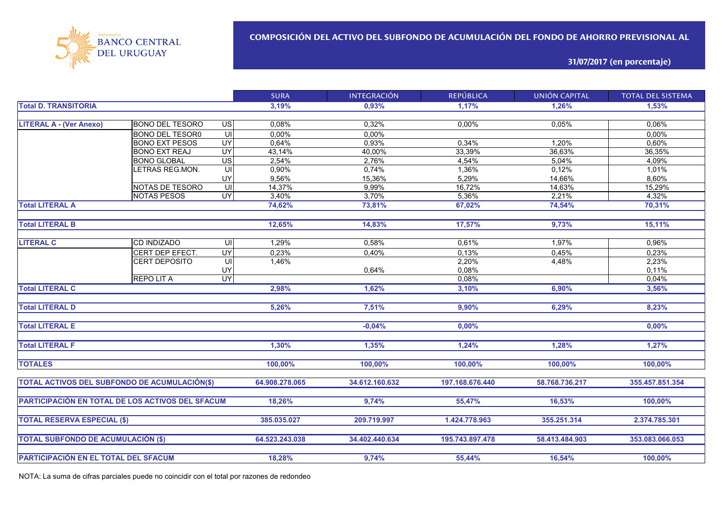

### **31/07/2017 (en porcentaje)**

|                                                  |                        |                 | <b>SURA</b>    | <b>INTEGRACIÓN</b> | <b>REPÚBLICA</b> | <b>UNIÓN CAPITAL</b> | <b>TOTAL DEL SISTEMA</b> |
|--------------------------------------------------|------------------------|-----------------|----------------|--------------------|------------------|----------------------|--------------------------|
| <b>Total D. TRANSITORIA</b>                      |                        |                 | 3,19%          | 0,93%              | 1,17%            | 1,26%                | 1,53%                    |
|                                                  |                        |                 |                |                    |                  |                      |                          |
| <b>LITERAL A - (Ver Anexo)</b>                   | <b>BONO DEL TESORO</b> | $\overline{u}$  | 0,08%          | 0,32%              | 0,00%            | 0,05%                | 0,06%                    |
|                                                  | <b>BONO DEL TESOR0</b> | ਗ               | 0,00%          | 0,00%              |                  |                      | 0,00%                    |
|                                                  | <b>BONO EXT PESOS</b>  | $\overline{UY}$ | 0,64%          | 0,93%              | 0,34%            | 1.20%                | 0.60%                    |
|                                                  | <b>BONO EXT REAJ</b>   | $\overline{UY}$ | 43,14%         | 40,00%             | 33,39%           | 36,63%               | 36,35%                   |
|                                                  | <b>BONO GLOBAL</b>     | $\overline{US}$ | 2,54%          | 2,76%              | 4,54%            | 5,04%                | 4,09%                    |
|                                                  | LETRAS REG.MON.        | UI              | 0,90%          | 0,74%              | 1,36%            | 0,12%                | 1,01%                    |
|                                                  |                        | UY              | 9,56%          | 15,36%             | 5,29%            | 14,66%               | 8,60%                    |
|                                                  | NOTAS DE TESORO        | UI              | 14,37%         | 9,99%              | 16,72%           | 14,63%               | 15,29%                   |
|                                                  | <b>NOTAS PESOS</b>     | <b>UY</b>       | 3,40%          | 3,70%              | 5,36%            | 2,21%                | 4,32%                    |
| <b>Total LITERAL A</b>                           |                        |                 | 74,62%         | 73,81%             | 67,02%           | 74,54%               | 70,31%                   |
| <b>Total LITERAL B</b>                           |                        |                 | 12,65%         | 14,83%             | 17,57%           | 9,73%                | 15,11%                   |
|                                                  |                        |                 |                |                    |                  |                      |                          |
| <b>LITERAL C</b>                                 | <b>CD INDIZADO</b>     | UI              | 1,29%          | 0,58%              | 0,61%            | 1,97%                | 0,96%                    |
|                                                  | CERT DEP EFECT.        | <b>UY</b>       | 0,23%          | 0,40%              | 0,13%            | 0,45%                | 0,23%                    |
|                                                  | <b>CERT DEPOSITO</b>   | ς               | 1,46%          |                    | 2,20%            | 4,48%                | 2,23%                    |
|                                                  |                        | UY              |                | 0,64%              | 0,08%            |                      | 0,11%                    |
|                                                  | <b>REPOLITA</b>        | <b>UY</b>       |                |                    | 0,08%            |                      | 0,04%                    |
| <b>Total LITERAL C</b>                           |                        |                 | 2,98%          | 1.62%              | 3,10%            | 6,90%                | 3,56%                    |
|                                                  |                        |                 |                |                    |                  |                      |                          |
| <b>Total LITERAL D</b>                           |                        |                 | 5,26%          | 7,51%              | 9,90%            | 6,29%                | $8,23\%$                 |
|                                                  |                        |                 |                |                    |                  |                      |                          |
| <b>Total LITERAL E</b>                           |                        |                 |                | $-0,04%$           | 0,00%            |                      | 0,00%                    |
| <b>Total LITERAL F</b>                           |                        |                 | 1,30%          | 1,35%              | 1,24%            | 1,28%                | 1,27%                    |
|                                                  |                        |                 |                |                    |                  |                      |                          |
| <b>TOTALES</b>                                   |                        |                 | 100,00%        | 100,00%            | 100,00%          | 100,00%              | 100,00%                  |
| TOTAL ACTIVOS DEL SUBFONDO DE ACUMULACIÓN(\$)    |                        |                 | 64.908.278.065 | 34.612.160.632     | 197.168.676.440  | 58.768.736.217       | 355.457.851.354          |
|                                                  |                        |                 |                |                    |                  |                      |                          |
| PARTICIPACIÓN EN TOTAL DE LOS ACTIVOS DEL SFACUM |                        |                 | 18,26%         | 9,74%              | 55,47%           | 16,53%               | 100,00%                  |
| <b>TOTAL RESERVA ESPECIAL (\$)</b>               |                        |                 | 385.035.027    | 209.719.997        | 1.424.778.963    | 355.251.314          | 2.374.785.301            |
|                                                  |                        |                 |                |                    |                  |                      |                          |
| <b>TOTAL SUBFONDO DE ACUMULACIÓN (\$)</b>        |                        |                 | 64.523.243.038 | 34.402.440.634     | 195.743.897.478  | 58,413,484,903       | 353.083.066.053          |
|                                                  |                        |                 |                |                    |                  |                      |                          |
| PARTICIPACIÓN EN EL TOTAL DEL SFACUM             |                        |                 | 18,28%         | 9,74%              | 55,44%           | 16,54%               | 100,00%                  |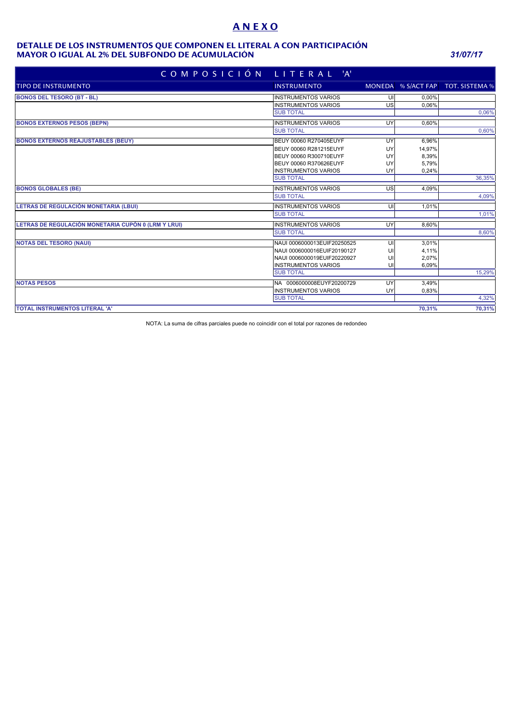# **A N E X O**

#### **MAYOR O IGUAL AL 2% DEL SUBFONDO DE ACUMULACIÓN** *31/07/17* **DETALLE DE LOS INSTRUMENTOS QUE COMPONEN EL LITERAL A CON PARTICIPACIÓN**

| COMPOSICIÓN LITERAL 'A'                             |                             |    |        |                                   |
|-----------------------------------------------------|-----------------------------|----|--------|-----------------------------------|
| <b>TIPO DE INSTRUMENTO</b>                          | <b>INSTRUMENTO</b>          |    |        | MONEDA % S/ACT FAP TOT. SISTEMA % |
| <b>BONOS DEL TESORO (BT - BL)</b>                   | <b>INSTRUMENTOS VARIOS</b>  | UI | 0.00%  |                                   |
|                                                     | <b>INSTRUMENTOS VARIOS</b>  | US | 0,06%  |                                   |
|                                                     | <b>SUB TOTAL</b>            |    |        | 0,06%                             |
| <b>BONOS EXTERNOS PESOS (BEPN)</b>                  | <b>INSTRUMENTOS VARIOS</b>  | UY | 0.60%  |                                   |
|                                                     | <b>SUB TOTAL</b>            |    |        | 0,60%                             |
| <b>BONOS EXTERNOS REAJUSTABLES (BEUY)</b>           | BEUY 00060 R270405EUYF      | UY | 6,96%  |                                   |
|                                                     | BEUY 00060 R281215EUYF      | UY | 14,97% |                                   |
|                                                     | BEUY 00060 R300710EUYF      | UY | 8,39%  |                                   |
|                                                     | BEUY 00060 R370626EUYF      | UY | 5,79%  |                                   |
|                                                     | <b>INSTRUMENTOS VARIOS</b>  | UY | 0,24%  |                                   |
|                                                     | <b>SUB TOTAL</b>            |    |        | 36,35%                            |
| <b>BONOS GLOBALES (BE)</b>                          | <b>INSTRUMENTOS VARIOS</b>  | US | 4.09%  |                                   |
|                                                     | <b>SUB TOTAL</b>            |    |        | 4,09%                             |
| LETRAS DE REGULACIÓN MONETARIA (LBUI)               | <b>INSTRUMENTOS VARIOS</b>  | UI | 1,01%  |                                   |
|                                                     | <b>SUB TOTAL</b>            |    |        | 1,01%                             |
| LETRAS DE REGULACIÓN MONETARIA CUPÓN 0 (LRM Y LRUI) | <b>INSTRUMENTOS VARIOS</b>  | UY | 8,60%  |                                   |
|                                                     | <b>SUB TOTAL</b>            |    |        | 8,60%                             |
| <b>NOTAS DEL TESORO (NAUI)</b>                      | NAUI 0006000013EUIF20250525 | UI | 3,01%  |                                   |
|                                                     | NAUI 0006000016EUIF20190127 | UI | 4,11%  |                                   |
|                                                     | NAUI 0006000019EUIF20220927 | U  | 2,07%  |                                   |
|                                                     | <b>INSTRUMENTOS VARIOS</b>  | UI | 6,09%  |                                   |
|                                                     | <b>SUB TOTAL</b>            |    |        | 15,29%                            |
| <b>NOTAS PESOS</b>                                  | NA 0006000008EUYF20200729   | UY | 3.49%  |                                   |
|                                                     | <b>INSTRUMENTOS VARIOS</b>  | UY | 0,83%  |                                   |
|                                                     | <b>SUB TOTAL</b>            |    |        | 4,32%                             |
| <b>TOTAL INSTRUMENTOS LITERAL 'A'</b>               |                             |    | 70.31% | 70,31%                            |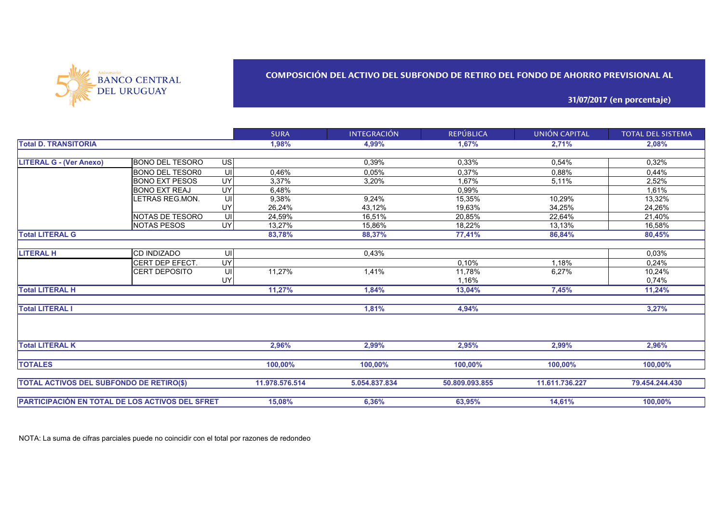

# **COMPOSICIÓN DEL ACTIVO DEL SUBFONDO DE RETIRO DEL FONDO DE AHORRO PREVISIONAL AL**

**31/07/2017 (en porcentaje)**

|                                                 |                        |                | <b>SURA</b>    | <b>INTEGRACIÓN</b> | <b>REPÚBLICA</b> | UNIÓN CAPITAL  | <b>TOTAL DEL SISTEMA</b> |
|-------------------------------------------------|------------------------|----------------|----------------|--------------------|------------------|----------------|--------------------------|
| <b>Total D. TRANSITORIA</b>                     |                        |                | 1,98%          | 4,99%              | 1,67%            | 2,71%          | 2,08%                    |
|                                                 |                        |                |                |                    |                  |                |                          |
| <b>LITERAL G - (Ver Anexo)</b>                  | <b>BONO DEL TESORO</b> | $\overline{u}$ |                | 0,39%              | 0,33%            | 0,54%          | 0,32%                    |
|                                                 | <b>BONO DEL TESOR0</b> | UI             | 0.46%          | 0.05%              | 0,37%            | 0.88%          | 0,44%                    |
|                                                 | <b>BONO EXT PESOS</b>  | UY             | 3.37%          | 3,20%              | 1.67%            | 5,11%          | 2.52%                    |
|                                                 | <b>BONO EXT REAJ</b>   | UY             | 6,48%          |                    | 0.99%            |                | 1.61%                    |
|                                                 | LETRAS REG.MON.        | UI             | 9,38%          | 9,24%              | 15,35%           | 10,29%         | 13,32%                   |
|                                                 |                        | UY             | 26,24%         | 43.12%             | 19,63%           | 34,25%         | 24,26%                   |
|                                                 | NOTAS DE TESORO        | UI             | 24,59%         | 16.51%             | 20,85%           | 22,64%         | 21,40%                   |
|                                                 | <b>NOTAS PESOS</b>     | <b>UY</b>      | 13,27%         | 15,86%             | 18,22%           | 13,13%         | 16,58%                   |
| <b>Total LITERAL G</b>                          |                        |                | 83,78%         | 88,37%             | 77,41%           | 86,84%         | 80,45%                   |
|                                                 |                        |                |                |                    |                  |                |                          |
| <b>LITERAL H</b>                                | CD INDIZADO            | UI             |                | 0,43%              |                  |                | 0,03%                    |
|                                                 | CERT DEP EFECT.        | <b>UY</b>      |                |                    | 0.10%            | 1.18%          | 0,24%                    |
|                                                 | CERT DEPOSITO          | UI             | 11,27%         | 1,41%              | 11,78%           | 6,27%          | 10,24%                   |
|                                                 |                        | UY             |                |                    | 1,16%            |                | 0,74%                    |
| <b>Total LITERAL H</b>                          |                        |                | 11,27%         | 1,84%              | 13,04%           | 7,45%          | 11,24%                   |
|                                                 |                        |                |                |                    |                  |                |                          |
| <b>Total LITERAL I</b>                          |                        |                |                | 1,81%              | 4,94%            |                | 3,27%                    |
|                                                 |                        |                |                |                    |                  |                |                          |
| <b>Total LITERAL K</b>                          |                        |                | 2,96%          | 2,99%              | 2,95%            | 2,99%          | 2,96%                    |
|                                                 |                        |                |                |                    |                  |                |                          |
| <b>TOTALES</b>                                  |                        |                | 100,00%        | 100,00%            | 100,00%          | 100,00%        | 100,00%                  |
| <b>TOTAL ACTIVOS DEL SUBFONDO DE RETIRO(\$)</b> |                        |                | 11.978.576.514 | 5.054.837.834      | 50.809.093.855   | 11.611.736.227 | 79.454.244.430           |
|                                                 |                        |                |                |                    |                  |                |                          |
| PARTICIPACIÓN EN TOTAL DE LOS ACTIVOS DEL SFRET |                        |                | 15,08%         | 6,36%              | 63,95%           | 14,61%         | 100.00%                  |